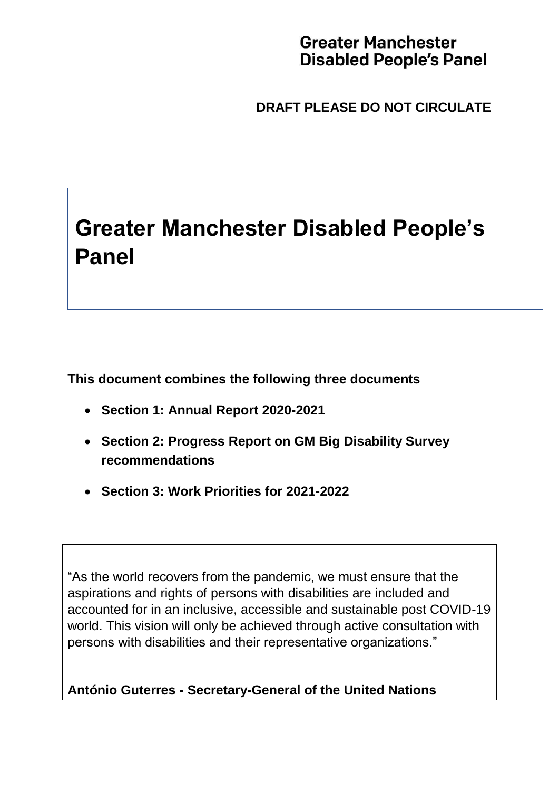# **Greater Manchester Disabled People's Panel**

**DRAFT PLEASE DO NOT CIRCULATE**

# **Greater Manchester Disabled People's Panel**

**This document combines the following three documents**

- **Section 1: Annual Report 2020-2021**
- **Section 2: Progress Report on GM Big Disability Survey recommendations**
- **Section 3: Work Priorities for 2021-2022**

"As the world recovers from the pandemic, we must ensure that the aspirations and rights of persons with disabilities are included and accounted for in an inclusive, accessible and sustainable post COVID-19 world. This vision will only be achieved through active consultation with persons with disabilities and their representative organizations."

**António Guterres - Secretary-General of the United Nations**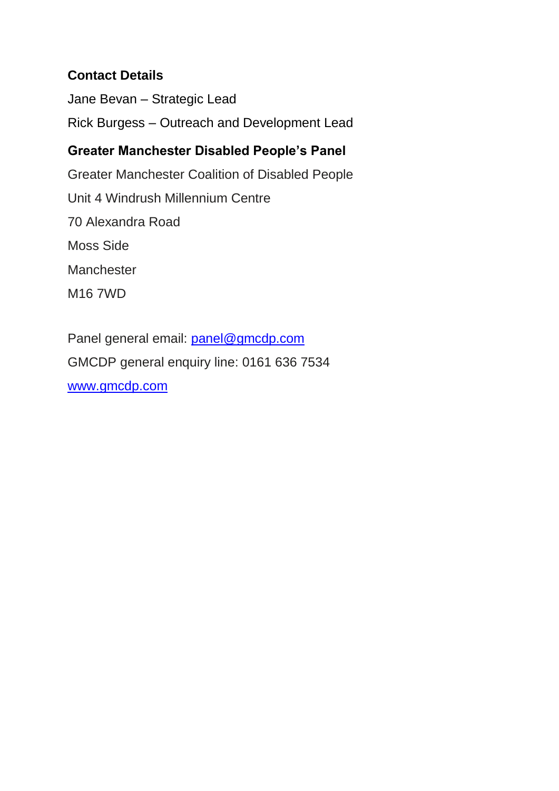#### **Contact Details**

Jane Bevan – Strategic Lead Rick Burgess – Outreach and Development Lead

# **Greater Manchester Disabled People's Panel**

Greater Manchester Coalition of Disabled People Unit 4 Windrush Millennium Centre 70 Alexandra Road Moss Side **Manchester** M16 7WD

Panel general email: [panel@gmcdp.com](mailto:panel@gmcdp.com) GMCDP general enquiry line: 0161 636 7534 [www.gmcdp.com](http://www.gmcdp.com/)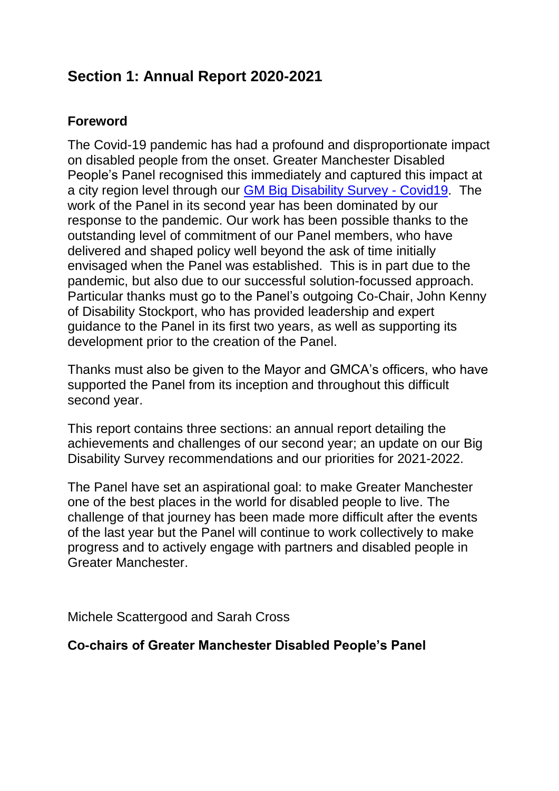# **Section 1: Annual Report 2020-2021**

#### **Foreword**

The Covid-19 pandemic has had a profound and disproportionate impact on disabled people from the onset. Greater Manchester Disabled People's Panel recognised this immediately and captured this impact at a city region level through our [GM Big Disability Survey -](https://gmdisabledpeoplespanel.com/2020/07/09/gm-big-disability-survey-covid19/) Covid19. The work of the Panel in its second year has been dominated by our response to the pandemic. Our work has been possible thanks to the outstanding level of commitment of our Panel members, who have delivered and shaped policy well beyond the ask of time initially envisaged when the Panel was established. This is in part due to the pandemic, but also due to our successful solution-focussed approach. Particular thanks must go to the Panel's outgoing Co-Chair, John Kenny of Disability Stockport, who has provided leadership and expert guidance to the Panel in its first two years, as well as supporting its development prior to the creation of the Panel.

Thanks must also be given to the Mayor and GMCA's officers, who have supported the Panel from its inception and throughout this difficult second year.

This report contains three sections: an annual report detailing the achievements and challenges of our second year; an update on our Big Disability Survey recommendations and our priorities for 2021-2022.

The Panel have set an aspirational goal: to make Greater Manchester one of the best places in the world for disabled people to live. The challenge of that journey has been made more difficult after the events of the last year but the Panel will continue to work collectively to make progress and to actively engage with partners and disabled people in Greater Manchester.

Michele Scattergood and Sarah Cross

#### **Co-chairs of Greater Manchester Disabled People's Panel**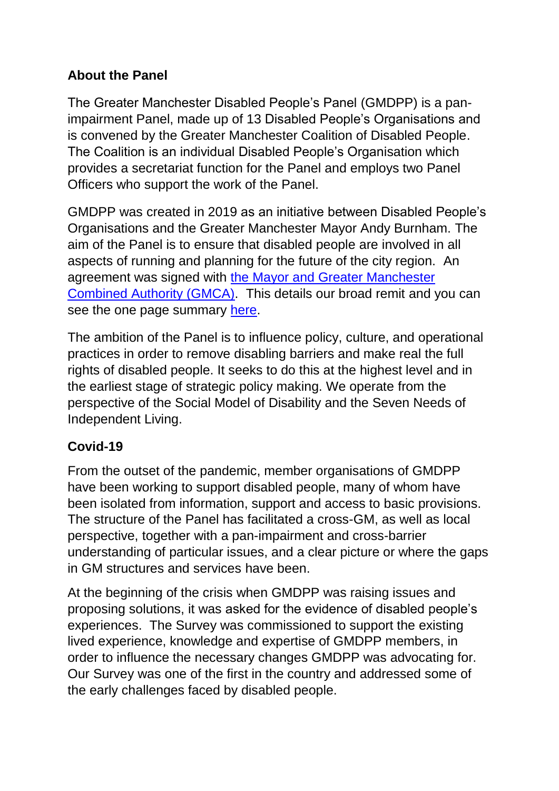#### **About the Panel**

The Greater Manchester Disabled People's Panel (GMDPP) is a panimpairment Panel, made up of 13 Disabled People's Organisations and is convened by the Greater Manchester Coalition of Disabled People. The Coalition is an individual Disabled People's Organisation which provides a secretariat function for the Panel and employs two Panel Officers who support the work of the Panel.

GMDPP was created in 2019 as an initiative between Disabled People's Organisations and the Greater Manchester Mayor Andy Burnham. The aim of the Panel is to ensure that disabled people are involved in all aspects of running and planning for the future of the city region. An agreement was signed with the [Mayor and Greater Manchester](https://www.greatermanchester-ca.gov.uk/)  [Combined Authority \(GMCA\).](https://www.greatermanchester-ca.gov.uk/) This details our broad remit and you can see the one page summary [here.](https://gmdisabledpeoplespanel.com/panel-agreement/)

The ambition of the Panel is to influence policy, culture, and operational practices in order to remove disabling barriers and make real the full rights of disabled people. It seeks to do this at the highest level and in the earliest stage of strategic policy making. We operate from the perspective of the Social Model of Disability and the Seven Needs of Independent Living.

# **Covid-19**

From the outset of the pandemic, member organisations of GMDPP have been working to support disabled people, many of whom have been isolated from information, support and access to basic provisions. The structure of the Panel has facilitated a cross-GM, as well as local perspective, together with a pan-impairment and cross-barrier understanding of particular issues, and a clear picture or where the gaps in GM structures and services have been.

At the beginning of the crisis when GMDPP was raising issues and proposing solutions, it was asked for the evidence of disabled people's experiences. The Survey was commissioned to support the existing lived experience, knowledge and expertise of GMDPP members, in order to influence the necessary changes GMDPP was advocating for. Our Survey was one of the first in the country and addressed some of the early challenges faced by disabled people.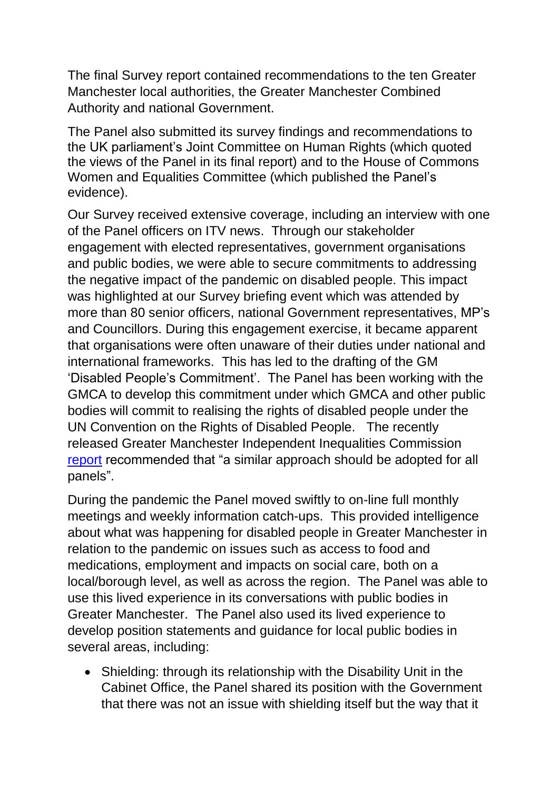The final Survey report contained recommendations to the ten Greater Manchester local authorities, the Greater Manchester Combined Authority and national Government.

The Panel also submitted its survey findings and recommendations to the UK parliament's Joint Committee on Human Rights (which quoted the views of the Panel in its final report) and to the House of Commons Women and Equalities Committee (which published the Panel's evidence).

Our Survey received extensive coverage, including an interview with one of the Panel officers on ITV news. Through our stakeholder engagement with elected representatives, government organisations and public bodies, we were able to secure commitments to addressing the negative impact of the pandemic on disabled people. This impact was highlighted at our Survey briefing event which was attended by more than 80 senior officers, national Government representatives, MP's and Councillors. During this engagement exercise, it became apparent that organisations were often unaware of their duties under national and international frameworks. This has led to the drafting of the GM 'Disabled People's Commitment'. The Panel has been working with the GMCA to develop this commitment under which GMCA and other public bodies will commit to realising the rights of disabled people under the UN Convention on the Rights of Disabled People. The recently released Greater Manchester Independent Inequalities Commission [report](https://www.greatermanchester-ca.gov.uk/media/4337/gmca_independent-inequalities-commission_v15.pdf) recommended that "a similar approach should be adopted for all panels".

During the pandemic the Panel moved swiftly to on-line full monthly meetings and weekly information catch-ups. This provided intelligence about what was happening for disabled people in Greater Manchester in relation to the pandemic on issues such as access to food and medications, employment and impacts on social care, both on a local/borough level, as well as across the region. The Panel was able to use this lived experience in its conversations with public bodies in Greater Manchester. The Panel also used its lived experience to develop position statements and guidance for local public bodies in several areas, including:

 Shielding: through its relationship with the Disability Unit in the Cabinet Office, the Panel shared its position with the Government that there was not an issue with shielding itself but the way that it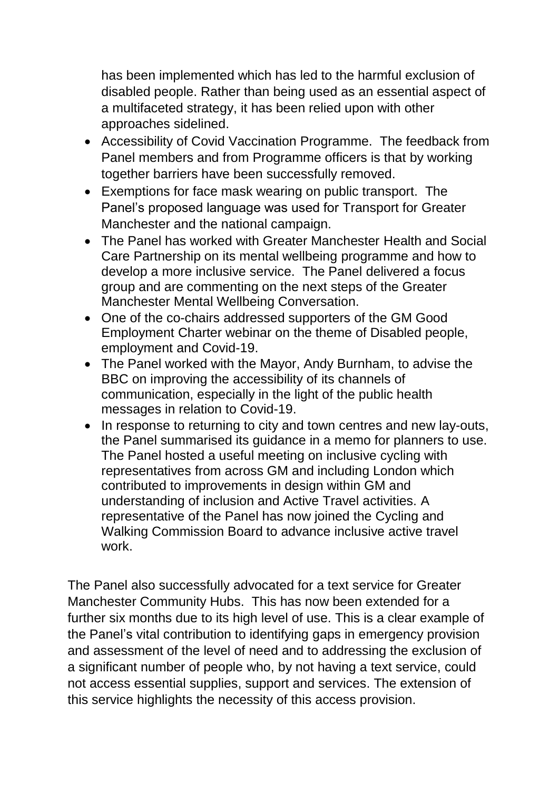has been implemented which has led to the harmful exclusion of disabled people. Rather than being used as an essential aspect of a multifaceted strategy, it has been relied upon with other approaches sidelined.

- Accessibility of Covid Vaccination Programme. The feedback from Panel members and from Programme officers is that by working together barriers have been successfully removed.
- Exemptions for face mask wearing on public transport. The Panel's proposed language was used for Transport for Greater Manchester and the national campaign.
- The Panel has worked with Greater Manchester Health and Social Care Partnership on its mental wellbeing programme and how to develop a more inclusive service. The Panel delivered a focus group and are commenting on the next steps of the Greater Manchester Mental Wellbeing Conversation.
- One of the co-chairs addressed supporters of the GM Good Employment Charter webinar on the theme of Disabled people, employment and Covid-19.
- The Panel worked with the Mayor, Andy Burnham, to advise the BBC on improving the accessibility of its channels of communication, especially in the light of the public health messages in relation to Covid-19.
- In response to returning to city and town centres and new lay-outs, the Panel summarised its guidance in a memo for planners to use. The Panel hosted a useful meeting on inclusive cycling with representatives from across GM and including London which contributed to improvements in design within GM and understanding of inclusion and Active Travel activities. A representative of the Panel has now joined the Cycling and Walking Commission Board to advance inclusive active travel work.

The Panel also successfully advocated for a text service for Greater Manchester Community Hubs. This has now been extended for a further six months due to its high level of use. This is a clear example of the Panel's vital contribution to identifying gaps in emergency provision and assessment of the level of need and to addressing the exclusion of a significant number of people who, by not having a text service, could not access essential supplies, support and services. The extension of this service highlights the necessity of this access provision.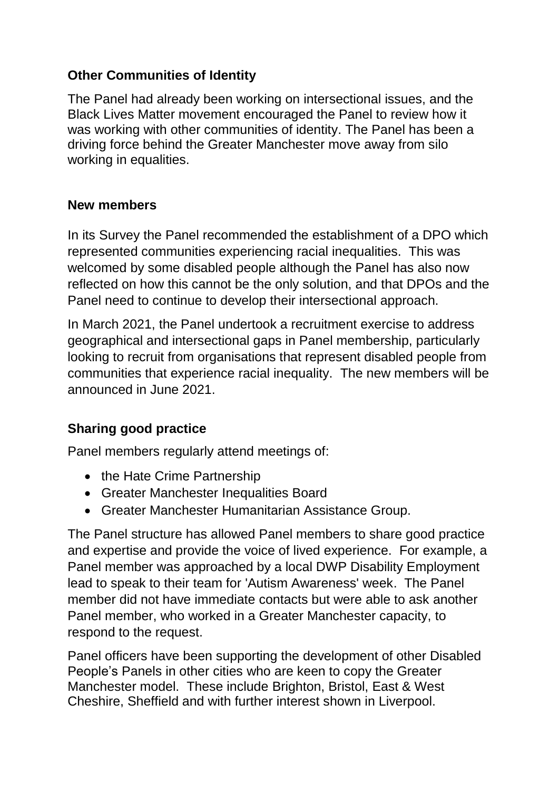#### **Other Communities of Identity**

The Panel had already been working on intersectional issues, and the Black Lives Matter movement encouraged the Panel to review how it was working with other communities of identity. The Panel has been a driving force behind the Greater Manchester move away from silo working in equalities.

#### **New members**

In its Survey the Panel recommended the establishment of a DPO which represented communities experiencing racial inequalities. This was welcomed by some disabled people although the Panel has also now reflected on how this cannot be the only solution, and that DPOs and the Panel need to continue to develop their intersectional approach.

In March 2021, the Panel undertook a recruitment exercise to address geographical and intersectional gaps in Panel membership, particularly looking to recruit from organisations that represent disabled people from communities that experience racial inequality. The new members will be announced in June 2021.

#### **Sharing good practice**

Panel members regularly attend meetings of:

- the Hate Crime Partnership
- Greater Manchester Inequalities Board
- Greater Manchester Humanitarian Assistance Group.

The Panel structure has allowed Panel members to share good practice and expertise and provide the voice of lived experience. For example, a Panel member was approached by a local DWP Disability Employment lead to speak to their team for 'Autism Awareness' week. The Panel member did not have immediate contacts but were able to ask another Panel member, who worked in a Greater Manchester capacity, to respond to the request.

Panel officers have been supporting the development of other Disabled People's Panels in other cities who are keen to copy the Greater Manchester model. These include Brighton, Bristol, East & West Cheshire, Sheffield and with further interest shown in Liverpool.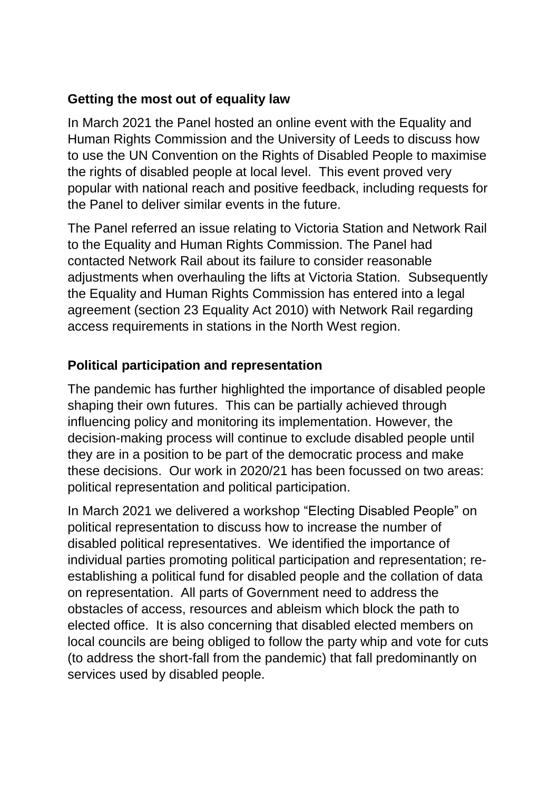#### **Getting the most out of equality law**

In March 2021 the Panel hosted an online event with the Equality and Human Rights Commission and the University of Leeds to discuss how to use the UN Convention on the Rights of Disabled People to maximise the rights of disabled people at local level. This event proved very popular with national reach and positive feedback, including requests for the Panel to deliver similar events in the future.

The Panel referred an issue relating to Victoria Station and Network Rail to the Equality and Human Rights Commission. The Panel had contacted Network Rail about its failure to consider reasonable adjustments when overhauling the lifts at Victoria Station. Subsequently the Equality and Human Rights Commission has entered into a legal agreement (section 23 Equality Act 2010) with Network Rail regarding access requirements in stations in the North West region.

# **Political participation and representation**

The pandemic has further highlighted the importance of disabled people shaping their own futures. This can be partially achieved through influencing policy and monitoring its implementation. However, the decision-making process will continue to exclude disabled people until they are in a position to be part of the democratic process and make these decisions. Our work in 2020/21 has been focussed on two areas: political representation and political participation.

In March 2021 we delivered a workshop "Electing Disabled People" on political representation to discuss how to increase the number of disabled political representatives. We identified the importance of individual parties promoting political participation and representation; reestablishing a political fund for disabled people and the collation of data on representation. All parts of Government need to address the obstacles of access, resources and ableism which block the path to elected office. It is also concerning that disabled elected members on local councils are being obliged to follow the party whip and vote for cuts (to address the short-fall from the pandemic) that fall predominantly on services used by disabled people.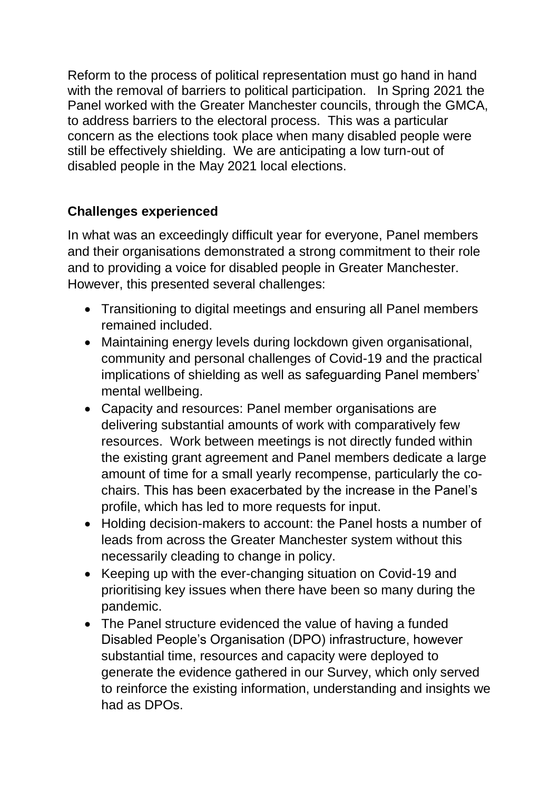Reform to the process of political representation must go hand in hand with the removal of barriers to political participation. In Spring 2021 the Panel worked with the Greater Manchester councils, through the GMCA, to address barriers to the electoral process. This was a particular concern as the elections took place when many disabled people were still be effectively shielding. We are anticipating a low turn-out of disabled people in the May 2021 local elections.

#### **Challenges experienced**

In what was an exceedingly difficult year for everyone, Panel members and their organisations demonstrated a strong commitment to their role and to providing a voice for disabled people in Greater Manchester. However, this presented several challenges:

- Transitioning to digital meetings and ensuring all Panel members remained included.
- Maintaining energy levels during lockdown given organisational, community and personal challenges of Covid-19 and the practical implications of shielding as well as safeguarding Panel members' mental wellbeing.
- Capacity and resources: Panel member organisations are delivering substantial amounts of work with comparatively few resources. Work between meetings is not directly funded within the existing grant agreement and Panel members dedicate a large amount of time for a small yearly recompense, particularly the cochairs. This has been exacerbated by the increase in the Panel's profile, which has led to more requests for input.
- Holding decision-makers to account: the Panel hosts a number of leads from across the Greater Manchester system without this necessarily cleading to change in policy.
- Keeping up with the ever-changing situation on Covid-19 and prioritising key issues when there have been so many during the pandemic.
- The Panel structure evidenced the value of having a funded Disabled People's Organisation (DPO) infrastructure, however substantial time, resources and capacity were deployed to generate the evidence gathered in our Survey, which only served to reinforce the existing information, understanding and insights we had as DPOs.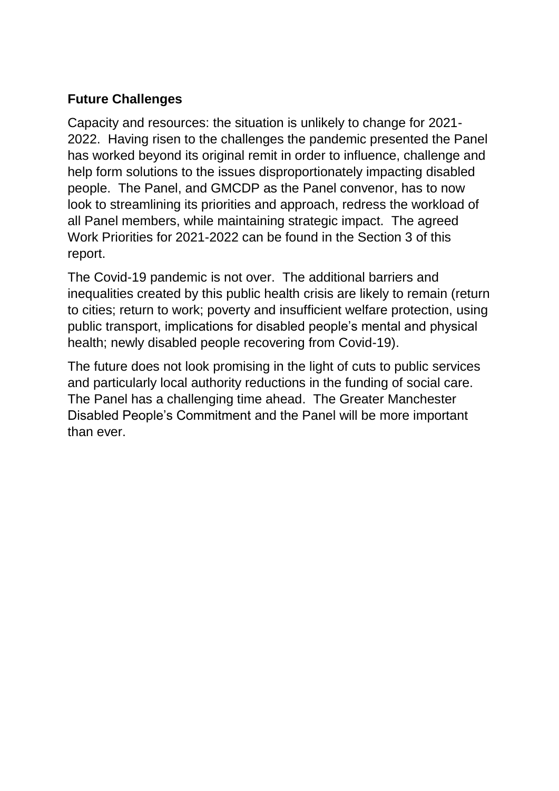# **Future Challenges**

Capacity and resources: the situation is unlikely to change for 2021- 2022. Having risen to the challenges the pandemic presented the Panel has worked beyond its original remit in order to influence, challenge and help form solutions to the issues disproportionately impacting disabled people. The Panel, and GMCDP as the Panel convenor, has to now look to streamlining its priorities and approach, redress the workload of all Panel members, while maintaining strategic impact. The agreed Work Priorities for 2021-2022 can be found in the Section 3 of this report.

The Covid-19 pandemic is not over. The additional barriers and inequalities created by this public health crisis are likely to remain (return to cities; return to work; poverty and insufficient welfare protection, using public transport, implications for disabled people's mental and physical health; newly disabled people recovering from Covid-19).

The future does not look promising in the light of cuts to public services and particularly local authority reductions in the funding of social care. The Panel has a challenging time ahead. The Greater Manchester Disabled People's Commitment and the Panel will be more important than ever.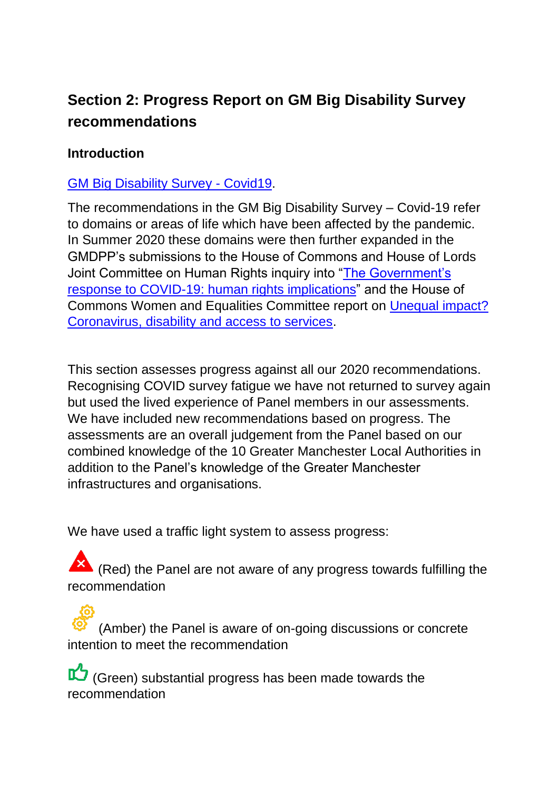# **Section 2: Progress Report on GM Big Disability Survey recommendations**

#### **Introduction**

#### [GM Big Disability Survey -](https://gmdisabledpeoplespanel.com/2020/07/09/gm-big-disability-survey-covid19/) Covid19.

The recommendations in the GM Big Disability Survey – Covid-19 refer to domains or areas of life which have been affected by the pandemic. In Summer 2020 these domains were then further expanded in the GMDPP's submissions to the House of Commons and House of Lords Joint Committee on Human Rights inquiry into ["The Government's](https://committees.parliament.uk/publications/2649/documents/26914/default/)  [response to COVID-19: human rights implications"](https://committees.parliament.uk/publications/2649/documents/26914/default/) and the House of Commons Women and Equalities Committee report on [Unequal impact?](https://committees.parliament.uk/publications/4068/documents/40461/default/)  [Coronavirus, disability and access to services.](https://committees.parliament.uk/publications/4068/documents/40461/default/)

This section assesses progress against all our 2020 recommendations. Recognising COVID survey fatigue we have not returned to survey again but used the lived experience of Panel members in our assessments. We have included new recommendations based on progress. The assessments are an overall judgement from the Panel based on our combined knowledge of the 10 Greater Manchester Local Authorities in addition to the Panel's knowledge of the Greater Manchester infrastructures and organisations.

We have used a traffic light system to assess progress:

K (Red) the Panel are not aware of any progress towards fulfilling the recommendation

(Amber) the Panel is aware of on-going discussions or concrete intention to meet the recommendation

(Green) substantial progress has been made towards the recommendation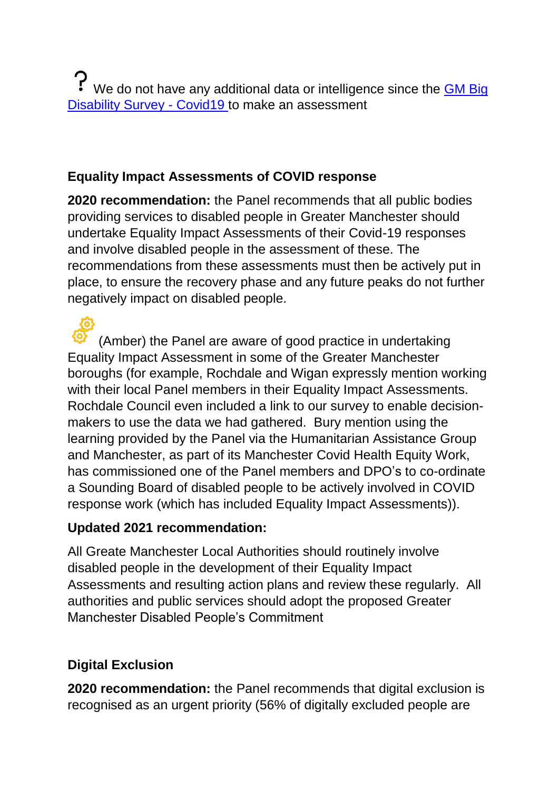? We do not have any additional data or intelligence since the **GM Big** [Disability Survey -](https://gmdisabledpeoplespanel.com/2020/07/09/gm-big-disability-survey-covid19/) Covid19 to make an assessment

# **Equality Impact Assessments of COVID response**

**2020 recommendation:** the Panel recommends that all public bodies providing services to disabled people in Greater Manchester should undertake Equality Impact Assessments of their Covid-19 responses and involve disabled people in the assessment of these. The recommendations from these assessments must then be actively put in place, to ensure the recovery phase and any future peaks do not further negatively impact on disabled people.

(Amber) the Panel are aware of good practice in undertaking Equality Impact Assessment in some of the Greater Manchester boroughs (for example, Rochdale and Wigan expressly mention working with their local Panel members in their Equality Impact Assessments. Rochdale Council even included a link to our survey to enable decisionmakers to use the data we had gathered. Bury mention using the learning provided by the Panel via the Humanitarian Assistance Group and Manchester, as part of its Manchester Covid Health Equity Work, has commissioned one of the Panel members and DPO's to co-ordinate a Sounding Board of disabled people to be actively involved in COVID response work (which has included Equality Impact Assessments)).

#### **Updated 2021 recommendation:**

All Greate Manchester Local Authorities should routinely involve disabled people in the development of their Equality Impact Assessments and resulting action plans and review these regularly. All authorities and public services should adopt the proposed Greater Manchester Disabled People's Commitment

# **Digital Exclusion**

**2020 recommendation:** the Panel recommends that digital exclusion is recognised as an urgent priority (56% of digitally excluded people are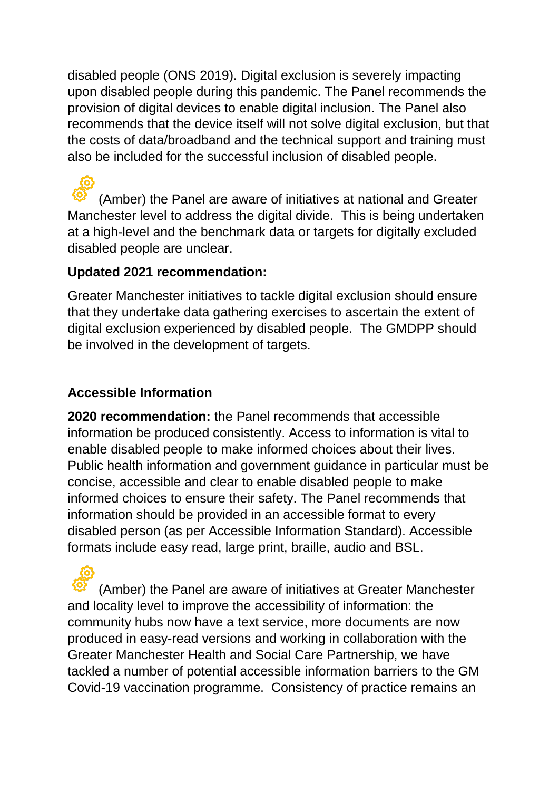disabled people (ONS 2019). Digital exclusion is severely impacting upon disabled people during this pandemic. The Panel recommends the provision of digital devices to enable digital inclusion. The Panel also recommends that the device itself will not solve digital exclusion, but that the costs of data/broadband and the technical support and training must also be included for the successful inclusion of disabled people.

(Amber) the Panel are aware of initiatives at national and Greater Manchester level to address the digital divide. This is being undertaken at a high-level and the benchmark data or targets for digitally excluded disabled people are unclear.

#### **Updated 2021 recommendation:**

Greater Manchester initiatives to tackle digital exclusion should ensure that they undertake data gathering exercises to ascertain the extent of digital exclusion experienced by disabled people. The GMDPP should be involved in the development of targets.

#### **Accessible Information**

**2020 recommendation:** the Panel recommends that accessible information be produced consistently. Access to information is vital to enable disabled people to make informed choices about their lives. Public health information and government guidance in particular must be concise, accessible and clear to enable disabled people to make informed choices to ensure their safety. The Panel recommends that information should be provided in an accessible format to every disabled person (as per Accessible Information Standard). Accessible formats include easy read, large print, braille, audio and BSL.

(Amber) the Panel are aware of initiatives at Greater Manchester and locality level to improve the accessibility of information: the community hubs now have a text service, more documents are now produced in easy-read versions and working in collaboration with the Greater Manchester Health and Social Care Partnership, we have tackled a number of potential accessible information barriers to the GM Covid-19 vaccination programme. Consistency of practice remains an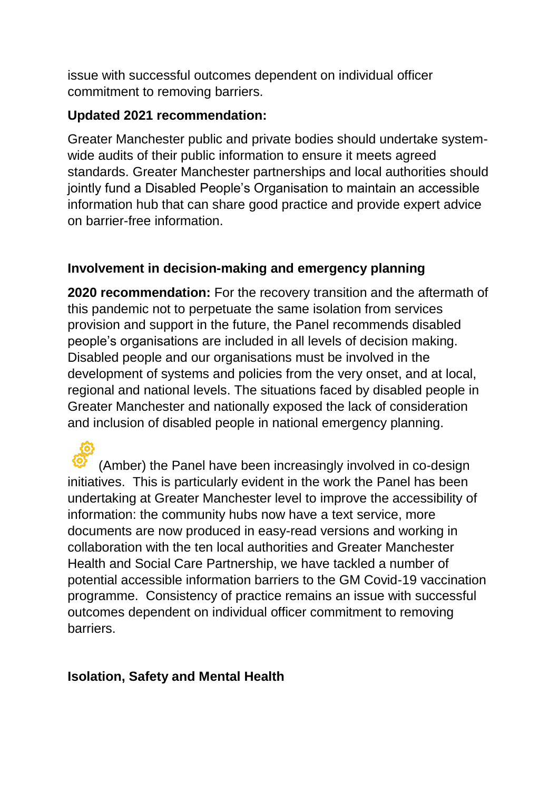issue with successful outcomes dependent on individual officer commitment to removing barriers.

#### **Updated 2021 recommendation:**

Greater Manchester public and private bodies should undertake systemwide audits of their public information to ensure it meets agreed standards. Greater Manchester partnerships and local authorities should jointly fund a Disabled People's Organisation to maintain an accessible information hub that can share good practice and provide expert advice on barrier-free information.

#### **Involvement in decision-making and emergency planning**

**2020 recommendation:** For the recovery transition and the aftermath of this pandemic not to perpetuate the same isolation from services provision and support in the future, the Panel recommends disabled people's organisations are included in all levels of decision making. Disabled people and our organisations must be involved in the development of systems and policies from the very onset, and at local, regional and national levels. The situations faced by disabled people in Greater Manchester and nationally exposed the lack of consideration and inclusion of disabled people in national emergency planning.

(Amber) the Panel have been increasingly involved in co-design initiatives. This is particularly evident in the work the Panel has been undertaking at Greater Manchester level to improve the accessibility of information: the community hubs now have a text service, more documents are now produced in easy-read versions and working in collaboration with the ten local authorities and Greater Manchester Health and Social Care Partnership, we have tackled a number of potential accessible information barriers to the GM Covid-19 vaccination programme. Consistency of practice remains an issue with successful outcomes dependent on individual officer commitment to removing barriers.

#### **Isolation, Safety and Mental Health**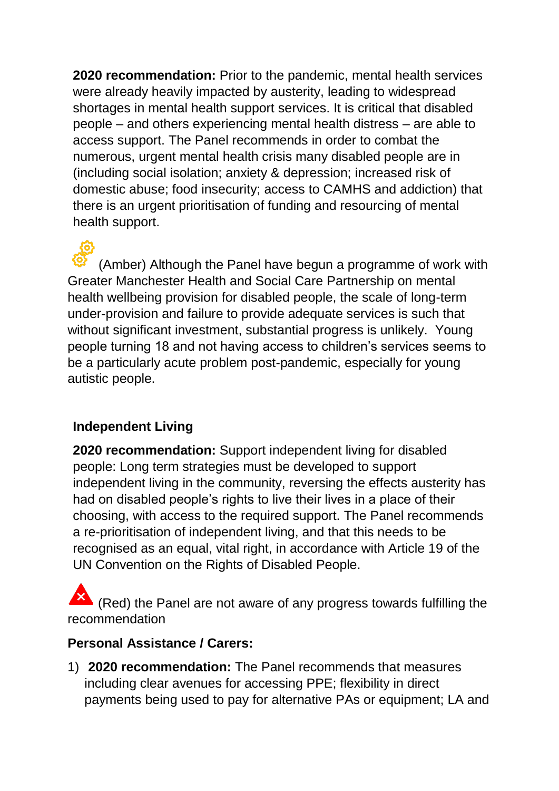**2020 recommendation:** Prior to the pandemic, mental health services were already heavily impacted by austerity, leading to widespread shortages in mental health support services. It is critical that disabled people – and others experiencing mental health distress – are able to access support. The Panel recommends in order to combat the numerous, urgent mental health crisis many disabled people are in (including social isolation; anxiety & depression; increased risk of domestic abuse; food insecurity; access to CAMHS and addiction) that there is an urgent prioritisation of funding and resourcing of mental health support.

(Amber) Although the Panel have begun a programme of work with Greater Manchester Health and Social Care Partnership on mental health wellbeing provision for disabled people, the scale of long-term under-provision and failure to provide adequate services is such that without significant investment, substantial progress is unlikely. Young people turning 18 and not having access to children's services seems to be a particularly acute problem post-pandemic, especially for young autistic people.

#### **Independent Living**

**2020 recommendation:** Support independent living for disabled people: Long term strategies must be developed to support independent living in the community, reversing the effects austerity has had on disabled people's rights to live their lives in a place of their choosing, with access to the required support. The Panel recommends a re-prioritisation of independent living, and that this needs to be recognised as an equal, vital right, in accordance with Article 19 of the UN Convention on the Rights of Disabled People.

(Red) the Panel are not aware of any progress towards fulfilling the recommendation

#### **Personal Assistance / Carers:**

1) **2020 recommendation:** The Panel recommends that measures including clear avenues for accessing PPE; flexibility in direct payments being used to pay for alternative PAs or equipment; LA and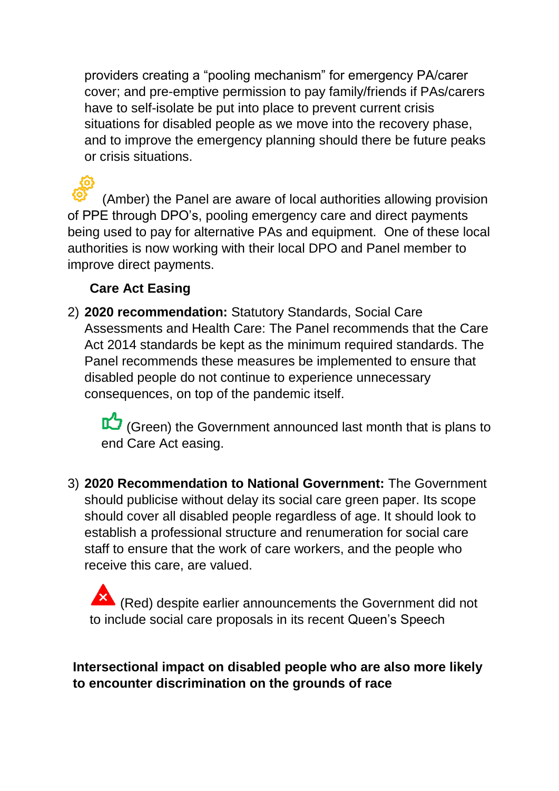providers creating a "pooling mechanism" for emergency PA/carer cover; and pre-emptive permission to pay family/friends if PAs/carers have to self-isolate be put into place to prevent current crisis situations for disabled people as we move into the recovery phase, and to improve the emergency planning should there be future peaks or crisis situations.

(Amber) the Panel are aware of local authorities allowing provision of PPE through DPO's, pooling emergency care and direct payments being used to pay for alternative PAs and equipment. One of these local authorities is now working with their local DPO and Panel member to improve direct payments.

# **Care Act Easing**

2) **2020 recommendation:** Statutory Standards, Social Care Assessments and Health Care: The Panel recommends that the Care Act 2014 standards be kept as the minimum required standards. The Panel recommends these measures be implemented to ensure that disabled people do not continue to experience unnecessary consequences, on top of the pandemic itself.

(Green) the Government announced last month that is plans to end Care Act easing.

3) **2020 Recommendation to National Government:** The Government should publicise without delay its social care green paper. Its scope should cover all disabled people regardless of age. It should look to establish a professional structure and renumeration for social care staff to ensure that the work of care workers, and the people who receive this care, are valued.

 $\blacktriangle$  (Red) despite earlier announcements the Government did not to include social care proposals in its recent Queen's Speech

#### **Intersectional impact on disabled people who are also more likely to encounter discrimination on the grounds of race**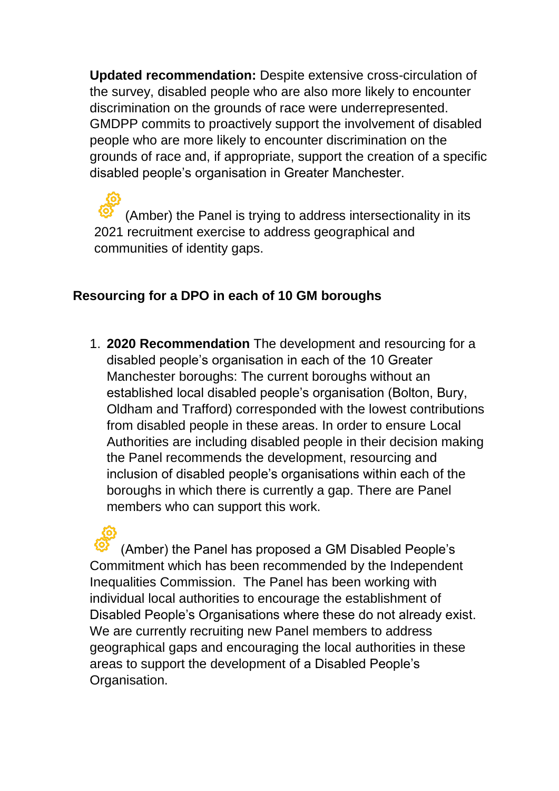**Updated recommendation:** Despite extensive cross-circulation of the survey, disabled people who are also more likely to encounter discrimination on the grounds of race were underrepresented. GMDPP commits to proactively support the involvement of disabled people who are more likely to encounter discrimination on the grounds of race and, if appropriate, support the creation of a specific disabled people's organisation in Greater Manchester.

(Amber) the Panel is trying to address intersectionality in its 2021 recruitment exercise to address geographical and communities of identity gaps.

#### **Resourcing for a DPO in each of 10 GM boroughs**

1. **2020 Recommendation** The development and resourcing for a disabled people's organisation in each of the 10 Greater Manchester boroughs: The current boroughs without an established local disabled people's organisation (Bolton, Bury, Oldham and Trafford) corresponded with the lowest contributions from disabled people in these areas. In order to ensure Local Authorities are including disabled people in their decision making the Panel recommends the development, resourcing and inclusion of disabled people's organisations within each of the boroughs in which there is currently a gap. There are Panel members who can support this work.

(Amber) the Panel has proposed a GM Disabled People's Commitment which has been recommended by the Independent Inequalities Commission. The Panel has been working with individual local authorities to encourage the establishment of Disabled People's Organisations where these do not already exist. We are currently recruiting new Panel members to address geographical gaps and encouraging the local authorities in these areas to support the development of a Disabled People's Organisation.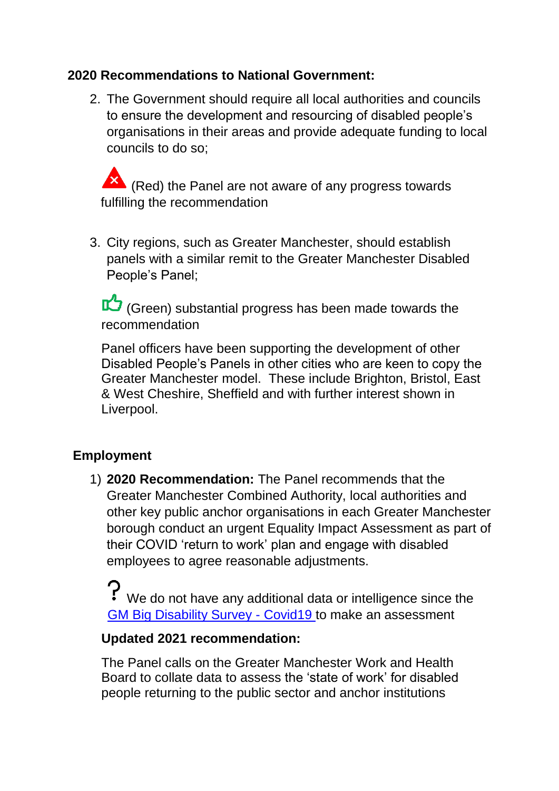#### **2020 Recommendations to National Government:**

2. The Government should require all local authorities and councils to ensure the development and resourcing of disabled people's organisations in their areas and provide adequate funding to local councils to do so;

 $\blacktriangle$  (Red) the Panel are not aware of any progress towards fulfilling the recommendation

3. City regions, such as Greater Manchester, should establish panels with a similar remit to the Greater Manchester Disabled People's Panel;

(Green) substantial progress has been made towards the recommendation

Panel officers have been supporting the development of other Disabled People's Panels in other cities who are keen to copy the Greater Manchester model. These include Brighton, Bristol, East & West Cheshire, Sheffield and with further interest shown in Liverpool.

#### **Employment**

1) **2020 Recommendation:** The Panel recommends that the Greater Manchester Combined Authority, local authorities and other key public anchor organisations in each Greater Manchester borough conduct an urgent Equality Impact Assessment as part of their COVID 'return to work' plan and engage with disabled employees to agree reasonable adjustments.

We do not have any additional data or intelligence since the [GM Big Disability Survey -](https://gmdisabledpeoplespanel.com/2020/07/09/gm-big-disability-survey-covid19/) Covid19 to make an assessment

#### **Updated 2021 recommendation:**

The Panel calls on the Greater Manchester Work and Health Board to collate data to assess the 'state of work' for disabled people returning to the public sector and anchor institutions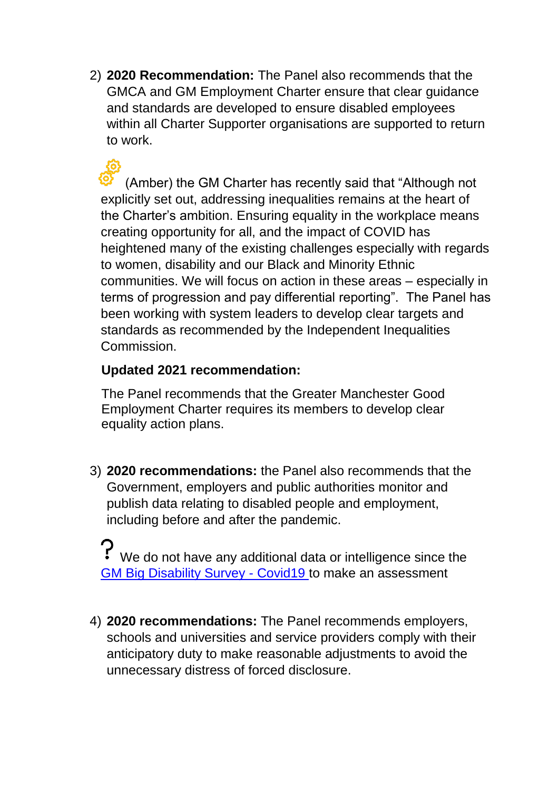2) **2020 Recommendation:** The Panel also recommends that the GMCA and GM Employment Charter ensure that clear guidance and standards are developed to ensure disabled employees within all Charter Supporter organisations are supported to return to work.

(Amber) the GM Charter has recently said that "Although not explicitly set out, addressing inequalities remains at the heart of the Charter's ambition. Ensuring equality in the workplace means creating opportunity for all, and the impact of COVID has heightened many of the existing challenges especially with regards to women, disability and our Black and Minority Ethnic communities. We will focus on action in these areas – especially in terms of progression and pay differential reporting". The Panel has been working with system leaders to develop clear targets and standards as recommended by the Independent Inequalities Commission.

#### **Updated 2021 recommendation:**

The Panel recommends that the Greater Manchester Good Employment Charter requires its members to develop clear equality action plans.

3) **2020 recommendations:** the Panel also recommends that the Government, employers and public authorities monitor and publish data relating to disabled people and employment, including before and after the pandemic.

 $\mathbf{P}$  We do not have any additional data or intelligence since the [GM Big Disability Survey -](https://gmdisabledpeoplespanel.com/2020/07/09/gm-big-disability-survey-covid19/) Covid19 to make an assessment

4) **2020 recommendations:** The Panel recommends employers, schools and universities and service providers comply with their anticipatory duty to make reasonable adjustments to avoid the unnecessary distress of forced disclosure.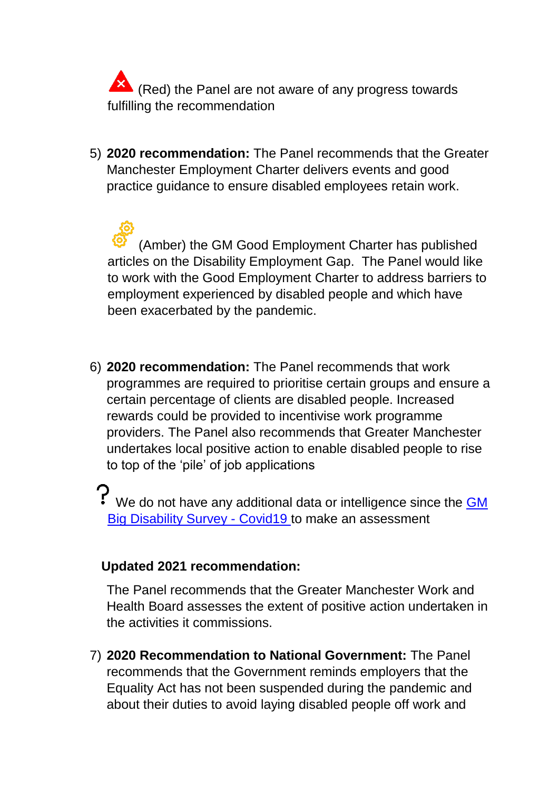**X** (Red) the Panel are not aware of any progress towards fulfilling the recommendation

5) **2020 recommendation:** The Panel recommends that the Greater Manchester Employment Charter delivers events and good practice guidance to ensure disabled employees retain work.

(Amber) the GM Good Employment Charter has published articles on the Disability Employment Gap. The Panel would like to work with the Good Employment Charter to address barriers to employment experienced by disabled people and which have been exacerbated by the pandemic.

- 6) **2020 recommendation:** The Panel recommends that work programmes are required to prioritise certain groups and ensure a certain percentage of clients are disabled people. Increased rewards could be provided to incentivise work programme providers. The Panel also recommends that Greater Manchester undertakes local positive action to enable disabled people to rise to top of the 'pile' of job applications
	- P We do not have any additional data or intelligence since the **GM** [Big Disability Survey -](https://gmdisabledpeoplespanel.com/2020/07/09/gm-big-disability-survey-covid19/) Covid19 to make an assessment

#### **Updated 2021 recommendation:**

The Panel recommends that the Greater Manchester Work and Health Board assesses the extent of positive action undertaken in the activities it commissions.

7) **2020 Recommendation to National Government:** The Panel recommends that the Government reminds employers that the Equality Act has not been suspended during the pandemic and about their duties to avoid laying disabled people off work and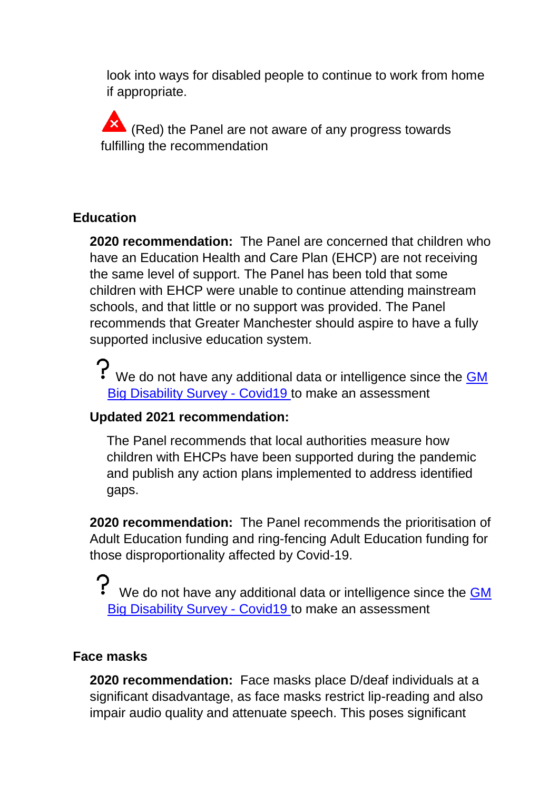look into ways for disabled people to continue to work from home if appropriate.

K (Red) the Panel are not aware of any progress towards fulfilling the recommendation

#### **Education**

**2020 recommendation:** The Panel are concerned that children who have an Education Health and Care Plan (EHCP) are not receiving the same level of support. The Panel has been told that some children with EHCP were unable to continue attending mainstream schools, and that little or no support was provided. The Panel recommends that Greater Manchester should aspire to have a fully supported inclusive education system.

We do not have any additional data or intelligence since the **GM** [Big Disability Survey -](https://gmdisabledpeoplespanel.com/2020/07/09/gm-big-disability-survey-covid19/) Covid19 to make an assessment

# **Updated 2021 recommendation:**

The Panel recommends that local authorities measure how children with EHCPs have been supported during the pandemic and publish any action plans implemented to address identified gaps.

**2020 recommendation:** The Panel recommends the prioritisation of Adult Education funding and ring-fencing Adult Education funding for those disproportionality affected by Covid-19.

We do not have any additional data or intelligence since the GM [Big Disability Survey -](https://gmdisabledpeoplespanel.com/2020/07/09/gm-big-disability-survey-covid19/) Covid19 to make an assessment

#### **Face masks**

**2020 recommendation:** Face masks place D/deaf individuals at a significant disadvantage, as face masks restrict lip-reading and also impair audio quality and attenuate speech. This poses significant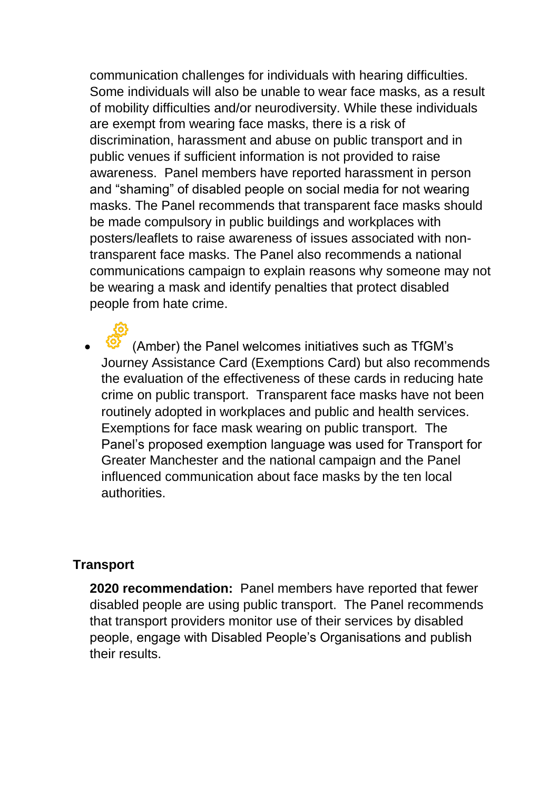communication challenges for individuals with hearing difficulties. Some individuals will also be unable to wear face masks, as a result of mobility difficulties and/or neurodiversity. While these individuals are exempt from wearing face masks, there is a risk of discrimination, harassment and abuse on public transport and in public venues if sufficient information is not provided to raise awareness. Panel members have reported harassment in person and "shaming" of disabled people on social media for not wearing masks. The Panel recommends that transparent face masks should be made compulsory in public buildings and workplaces with posters/leaflets to raise awareness of issues associated with nontransparent face masks. The Panel also recommends a national communications campaign to explain reasons why someone may not be wearing a mask and identify penalties that protect disabled people from hate crime.

 (Amber) the Panel welcomes initiatives such as TfGM's Journey Assistance Card (Exemptions Card) but also recommends the evaluation of the effectiveness of these cards in reducing hate crime on public transport. Transparent face masks have not been routinely adopted in workplaces and public and health services. Exemptions for face mask wearing on public transport. The Panel's proposed exemption language was used for Transport for Greater Manchester and the national campaign and the Panel influenced communication about face masks by the ten local authorities.

#### **Transport**

**2020 recommendation:** Panel members have reported that fewer disabled people are using public transport. The Panel recommends that transport providers monitor use of their services by disabled people, engage with Disabled People's Organisations and publish their results.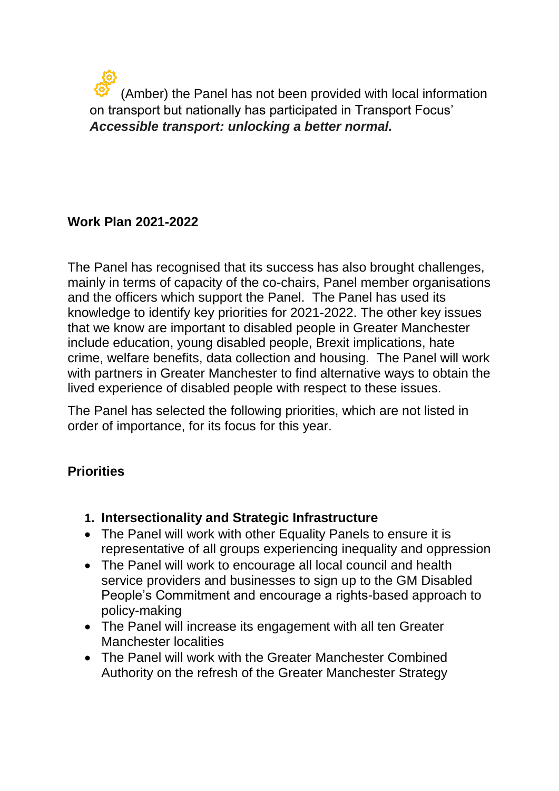(Amber) the Panel has not been provided with local information on transport but nationally has participated in Transport Focus' *Accessible transport: unlocking a better normal.*

#### **Work Plan 2021-2022**

The Panel has recognised that its success has also brought challenges, mainly in terms of capacity of the co-chairs, Panel member organisations and the officers which support the Panel. The Panel has used its knowledge to identify key priorities for 2021-2022. The other key issues that we know are important to disabled people in Greater Manchester include education, young disabled people, Brexit implications, hate crime, welfare benefits, data collection and housing. The Panel will work with partners in Greater Manchester to find alternative ways to obtain the lived experience of disabled people with respect to these issues.

The Panel has selected the following priorities, which are not listed in order of importance, for its focus for this year.

#### **Priorities**

- **1. Intersectionality and Strategic Infrastructure**
- The Panel will work with other Equality Panels to ensure it is representative of all groups experiencing inequality and oppression
- The Panel will work to encourage all local council and health service providers and businesses to sign up to the GM Disabled People's Commitment and encourage a rights-based approach to policy-making
- The Panel will increase its engagement with all ten Greater Manchester localities
- The Panel will work with the Greater Manchester Combined Authority on the refresh of the Greater Manchester Strategy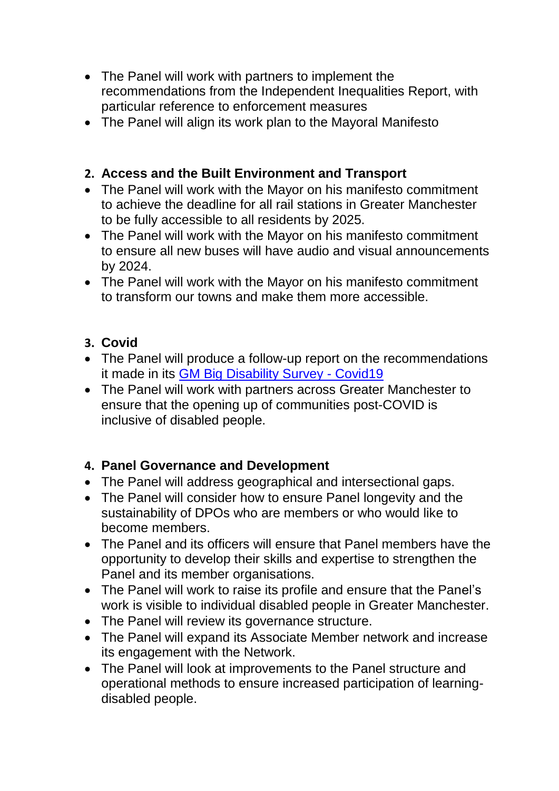- The Panel will work with partners to implement the recommendations from the Independent Inequalities Report, with particular reference to enforcement measures
- The Panel will align its work plan to the Mayoral Manifesto

## **2. Access and the Built Environment and Transport**

- The Panel will work with the Mayor on his manifesto commitment to achieve the deadline for all rail stations in Greater Manchester to be fully accessible to all residents by 2025.
- The Panel will work with the Mayor on his manifesto commitment to ensure all new buses will have audio and visual announcements by 2024.
- The Panel will work with the Mayor on his manifesto commitment to transform our towns and make them more accessible.

#### **3. Covid**

- The Panel will produce a follow-up report on the recommendations it made in its [GM Big Disability Survey -](https://gmdisabledpeoplespanel.com/2020/07/09/gm-big-disability-survey-covid19/) Covid19
- The Panel will work with partners across Greater Manchester to ensure that the opening up of communities post-COVID is inclusive of disabled people.

#### **4. Panel Governance and Development**

- The Panel will address geographical and intersectional gaps.
- The Panel will consider how to ensure Panel longevity and the sustainability of DPOs who are members or who would like to become members.
- The Panel and its officers will ensure that Panel members have the opportunity to develop their skills and expertise to strengthen the Panel and its member organisations.
- The Panel will work to raise its profile and ensure that the Panel's work is visible to individual disabled people in Greater Manchester.
- The Panel will review its governance structure.
- The Panel will expand its Associate Member network and increase its engagement with the Network.
- The Panel will look at improvements to the Panel structure and operational methods to ensure increased participation of learningdisabled people.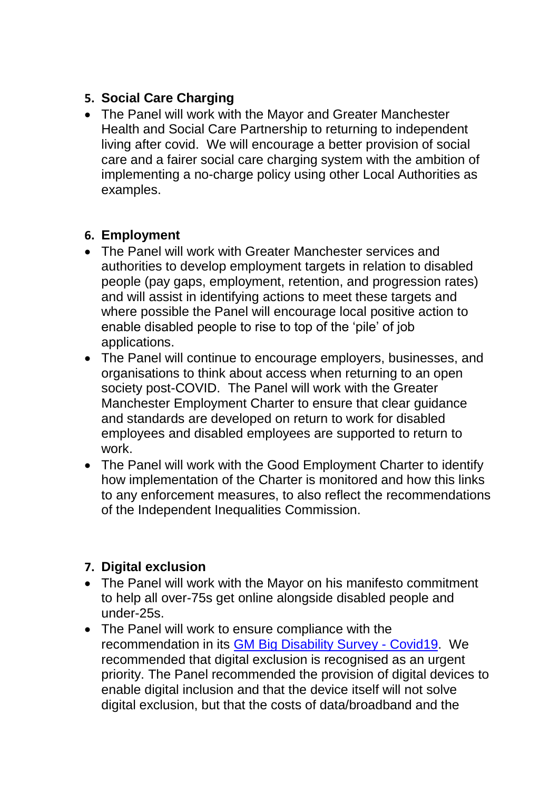#### **5. Social Care Charging**

 The Panel will work with the Mayor and Greater Manchester Health and Social Care Partnership to returning to independent living after covid. We will encourage a better provision of social care and a fairer social care charging system with the ambition of implementing a no-charge policy using other Local Authorities as examples.

#### **6. Employment**

- The Panel will work with Greater Manchester services and authorities to develop employment targets in relation to disabled people (pay gaps, employment, retention, and progression rates) and will assist in identifying actions to meet these targets and where possible the Panel will encourage local positive action to enable disabled people to rise to top of the 'pile' of job applications.
- The Panel will continue to encourage employers, businesses, and organisations to think about access when returning to an open society post-COVID. The Panel will work with the Greater Manchester Employment Charter to ensure that clear guidance and standards are developed on return to work for disabled employees and disabled employees are supported to return to work.
- The Panel will work with the Good Employment Charter to identify how implementation of the Charter is monitored and how this links to any enforcement measures, to also reflect the recommendations of the Independent Inequalities Commission.

# **7. Digital exclusion**

- The Panel will work with the Mayor on his manifesto commitment to help all over-75s get online alongside disabled people and under-25s.
- The Panel will work to ensure compliance with the recommendation in its [GM Big Disability Survey -](https://gmdisabledpeoplespanel.com/2020/07/09/gm-big-disability-survey-covid19/) Covid19. We recommended that digital exclusion is recognised as an urgent priority. The Panel recommended the provision of digital devices to enable digital inclusion and that the device itself will not solve digital exclusion, but that the costs of data/broadband and the